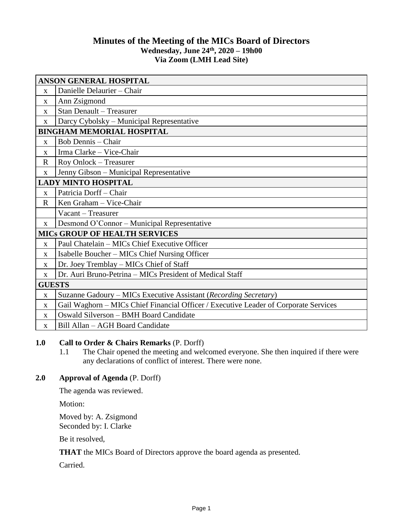# **Minutes of the Meeting of the MICs Board of Directors Wednesday, June 24 th , 2020 – 19h00 Via Zoom (LMH Lead Site)**

| <b>ANSON GENERAL HOSPITAL</b>        |                                                                                      |
|--------------------------------------|--------------------------------------------------------------------------------------|
| X                                    | Danielle Delaurier - Chair                                                           |
| $\mathbf X$                          | Ann Zsigmond                                                                         |
| $\mathbf X$                          | Stan Denault - Treasurer                                                             |
| X                                    | Darcy Cybolsky - Municipal Representative                                            |
| <b>BINGHAM MEMORIAL HOSPITAL</b>     |                                                                                      |
| X                                    | <b>Bob Dennis - Chair</b>                                                            |
| X                                    | Irma Clarke - Vice-Chair                                                             |
| $\mathbf R$                          | Roy Onlock - Treasurer                                                               |
| $\mathbf X$                          | Jenny Gibson - Municipal Representative                                              |
| <b>LADY MINTO HOSPITAL</b>           |                                                                                      |
| $\mathbf{x}$                         | Patricia Dorff - Chair                                                               |
| $\mathbf R$                          | Ken Graham - Vice-Chair                                                              |
|                                      | Vacant - Treasurer                                                                   |
| $\mathbf X$                          | Desmond O'Connor - Municipal Representative                                          |
| <b>MICS GROUP OF HEALTH SERVICES</b> |                                                                                      |
| $\mathbf{x}$                         | Paul Chatelain - MICs Chief Executive Officer                                        |
| X                                    | Isabelle Boucher – MICs Chief Nursing Officer                                        |
| X                                    | Dr. Joey Tremblay - MICs Chief of Staff                                              |
| $\mathbf X$                          | Dr. Auri Bruno-Petrina – MICs President of Medical Staff                             |
| <b>GUESTS</b>                        |                                                                                      |
| $\mathbf X$                          | Suzanne Gadoury - MICs Executive Assistant (Recording Secretary)                     |
| X                                    | Gail Waghorn - MICs Chief Financial Officer / Executive Leader of Corporate Services |
| X                                    | Oswald Silverson - BMH Board Candidate                                               |
| X                                    | Bill Allan - AGH Board Candidate                                                     |

# **1.0 Call to Order & Chairs Remarks** (P. Dorff)

1.1 The Chair opened the meeting and welcomed everyone. She then inquired if there were any declarations of conflict of interest. There were none.

### **2.0 Approval of Agenda** (P. Dorff)

The agenda was reviewed.

Motion:

Moved by: A. Zsigmond Seconded by: I. Clarke

Be it resolved,

**THAT** the MICs Board of Directors approve the board agenda as presented.

Carried.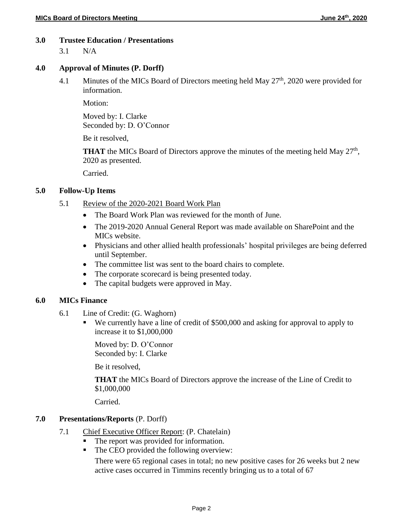#### **3.0 Trustee Education / Presentations**

3.1 N/A

#### **4.0 Approval of Minutes (P. Dorff)**

4.1 Minutes of the MICs Board of Directors meeting held May 27<sup>th</sup>, 2020 were provided for information.

Motion<sup>.</sup>

Moved by: I. Clarke Seconded by: D. O'Connor

Be it resolved,

**THAT** the MICs Board of Directors approve the minutes of the meeting held May  $27<sup>th</sup>$ , 2020 as presented.

Carried.

#### **5.0 Follow-Up Items**

- 5.1 Review of the 2020-2021 Board Work Plan
	- The Board Work Plan was reviewed for the month of June.
	- The 2019-2020 Annual General Report was made available on SharePoint and the MICs website.
	- Physicians and other allied health professionals' hospital privileges are being deferred until September.
	- The committee list was sent to the board chairs to complete.
	- The corporate scorecard is being presented today.
	- The capital budgets were approved in May.

#### **6.0 MICs Finance**

- 6.1 Line of Credit: (G. Waghorn)
	- We currently have a line of credit of \$500,000 and asking for approval to apply to increase it to \$1,000,000

Moved by: D. O'Connor Seconded by: I. Clarke

Be it resolved,

**THAT** the MICs Board of Directors approve the increase of the Line of Credit to \$1,000,000

Carried.

#### **7.0 Presentations/Reports** (P. Dorff)

- 7.1 Chief Executive Officer Report: (P. Chatelain)
	- The report was provided for information.
	- The CEO provided the following overview:

There were 65 regional cases in total; no new positive cases for 26 weeks but 2 new active cases occurred in Timmins recently bringing us to a total of 67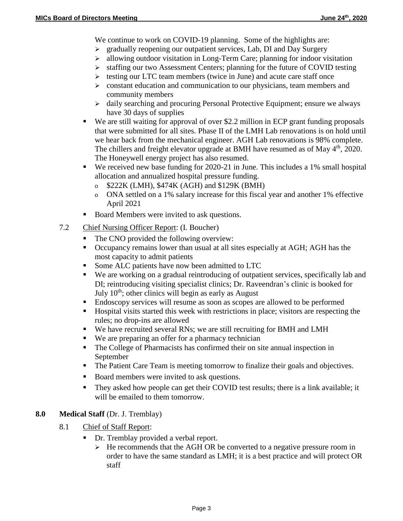We continue to work on COVID-19 planning. Some of the highlights are:

- $\triangleright$  gradually reopening our outpatient services, Lab, DI and Day Surgery
- $\geq$  allowing outdoor visitation in Long-Term Care; planning for indoor visitation
- staffing our two Assessment Centers; planning for the future of COVID testing
- $\triangleright$  testing our LTC team members (twice in June) and acute care staff once
- $\triangleright$  constant education and communication to our physicians, team members and community members
- $\triangleright$  daily searching and procuring Personal Protective Equipment; ensure we always have 30 days of supplies
- We are still waiting for approval of over \$2.2 million in ECP grant funding proposals that were submitted for all sites. Phase II of the LMH Lab renovations is on hold until we hear back from the mechanical engineer. AGH Lab renovations is 98% complete. The chillers and freight elevator upgrade at BMH have resumed as of May 4<sup>th</sup>, 2020. The Honeywell energy project has also resumed.
- We received new base funding for 2020-21 in June. This includes a 1% small hospital allocation and annualized hospital pressure funding.
	- o \$222K (LMH), \$474K (AGH) and \$129K (BMH)
	- o ONA settled on a 1% salary increase for this fiscal year and another 1% effective April 2021
- Board Members were invited to ask questions.
- 7.2 Chief Nursing Officer Report: (I. Boucher)
	- The CNO provided the following overview:
	- Occupancy remains lower than usual at all sites especially at AGH; AGH has the most capacity to admit patients
	- Some ALC patients have now been admitted to LTC
	- We are working on a gradual reintroducing of outpatient services, specifically lab and DI; reintroducing visiting specialist clinics; Dr. Raveendran's clinic is booked for July  $10<sup>th</sup>$ ; other clinics will begin as early as August
	- Endoscopy services will resume as soon as scopes are allowed to be performed
	- Hospital visits started this week with restrictions in place; visitors are respecting the rules; no drop-ins are allowed
	- We have recruited several RNs; we are still recruiting for BMH and LMH
	- We are preparing an offer for a pharmacy technician
	- The College of Pharmacists has confirmed their on site annual inspection in September
	- The Patient Care Team is meeting tomorrow to finalize their goals and objectives.
	- Board members were invited to ask questions.
	- They asked how people can get their COVID test results; there is a link available; it will be emailed to them tomorrow.

### **8.0 Medical Staff** (Dr. J. Tremblay)

- 8.1 Chief of Staff Report:
	- Dr. Tremblay provided a verbal report.
		- $\triangleright$  He recommends that the AGH OR be converted to a negative pressure room in order to have the same standard as LMH; it is a best practice and will protect OR staff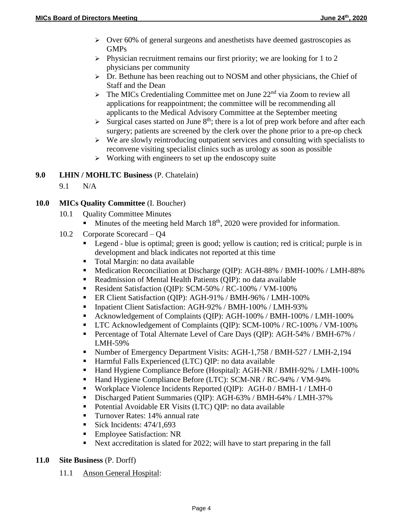- $\triangleright$  Over 60% of general surgeons and anesthetists have deemed gastroscopies as GMPs
- $\triangleright$  Physician recruitment remains our first priority; we are looking for 1 to 2 physicians per community
- Dr. Bethune has been reaching out to NOSM and other physicians, the Chief of Staff and the Dean
- $\triangleright$  The MICs Credentialing Committee met on June 22<sup>nd</sup> via Zoom to review all applications for reappointment; the committee will be recommending all applicants to the Medical Advisory Committee at the September meeting
- $\triangleright$  Surgical cases started on June 8<sup>th</sup>; there is a lot of prep work before and after each surgery; patients are screened by the clerk over the phone prior to a pre-op check
- $\triangleright$  We are slowly reintroducing outpatient services and consulting with specialists to reconvene visiting specialist clinics such as urology as soon as possible
- $\triangleright$  Working with engineers to set up the endoscopy suite

# **9.0 LHIN / MOHLTC Business** (P. Chatelain)

9.1 N/A

# **10.0 MICs Quality Committee** (I. Boucher)

- 10.1 Ouality Committee Minutes
	- Minutes of the meeting held March  $18<sup>th</sup>$ , 2020 were provided for information.
- 10.2 Corporate Scorecard Q4
	- Legend blue is optimal; green is good; yellow is caution; red is critical; purple is in development and black indicates not reported at this time
	- Total Margin: no data available
	- Medication Reconciliation at Discharge (QIP): AGH-88% / BMH-100% / LMH-88%
	- Readmission of Mental Health Patients (QIP): no data available
	- Resident Satisfaction (QIP): SCM-50% / RC-100% / VM-100%
	- ER Client Satisfaction (QIP): AGH-91% / BMH-96% / LMH-100%
	- Inpatient Client Satisfaction: AGH-92% / BMH-100% / LMH-93%
	- Acknowledgement of Complaints (QIP): AGH-100% / BMH-100% / LMH-100%
	- LTC Acknowledgement of Complaints (QIP): SCM-100% / RC-100% / VM-100%
	- Percentage of Total Alternate Level of Care Days (QIP): AGH-54% / BMH-67% / LMH-59%
	- Number of Emergency Department Visits: AGH-1,758 / BMH-527 / LMH-2,194
	- Harmful Falls Experienced (LTC) QIP: no data available
	- Hand Hygiene Compliance Before (Hospital): AGH-NR / BMH-92% / LMH-100%
	- Hand Hygiene Compliance Before (LTC): SCM-NR / RC-94% / VM-94%
	- Workplace Violence Incidents Reported (QIP): AGH-0 / BMH-1 / LMH-0
	- Discharged Patient Summaries (QIP): AGH-63% / BMH-64% / LMH-37%
	- Potential Avoidable ER Visits (LTC) QIP: no data available
	- Turnover Rates: 14% annual rate
	- Sick Incidents:  $474/1,693$
	- **Employee Satisfaction: NR**
	- Next accreditation is slated for 2022; will have to start preparing in the fall

# **11.0 Site Business** (P. Dorff)

11.1 Anson General Hospital: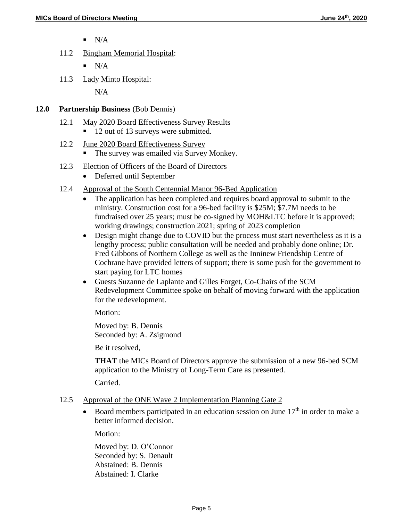- $N/A$
- 11.2 Bingham Memorial Hospital:
	- $N/A$
- 11.3 Lady Minto Hospital:

 $N/A$ 

### **12.0 Partnership Business** (Bob Dennis)

- 12.1 May 2020 Board Effectiveness Survey Results
	- 12 out of 13 surveys were submitted.
- 12.2 June 2020 Board Effectiveness Survey
	- The survey was emailed via Survey Monkey.
- 12.3 Election of Officers of the Board of Directors
	- Deferred until September
- 12.4 Approval of the South Centennial Manor 96-Bed Application
	- The application has been completed and requires board approval to submit to the ministry. Construction cost for a 96-bed facility is \$25M; \$7.7M needs to be fundraised over 25 years; must be co-signed by MOH&LTC before it is approved; working drawings; construction 2021; spring of 2023 completion
	- Design might change due to COVID but the process must start nevertheless as it is a lengthy process; public consultation will be needed and probably done online; Dr. Fred Gibbons of Northern College as well as the Inninew Friendship Centre of Cochrane have provided letters of support; there is some push for the government to start paying for LTC homes
	- Guests Suzanne de Laplante and Gilles Forget, Co-Chairs of the SCM Redevelopment Committee spoke on behalf of moving forward with the application for the redevelopment.

Motion:

Moved by: B. Dennis Seconded by: A. Zsigmond

Be it resolved,

**THAT** the MICs Board of Directors approve the submission of a new 96-bed SCM application to the Ministry of Long-Term Care as presented.

Carried.

#### 12.5 Approval of the ONE Wave 2 Implementation Planning Gate 2

Board members participated in an education session on June  $17<sup>th</sup>$  in order to make a better informed decision.

Motion:

Moved by: D. O'Connor Seconded by: S. Denault Abstained: B. Dennis Abstained: I. Clarke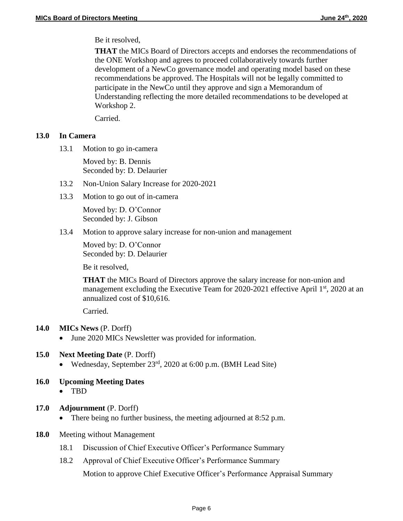Be it resolved,

**THAT** the MICs Board of Directors accepts and endorses the recommendations of the ONE Workshop and agrees to proceed collaboratively towards further development of a NewCo governance model and operating model based on these recommendations be approved. The Hospitals will not be legally committed to participate in the NewCo until they approve and sign a Memorandum of Understanding reflecting the more detailed recommendations to be developed at Workshop 2.

Carried.

### **13.0 In Camera**

13.1 Motion to go in-camera

Moved by: B. Dennis Seconded by: D. Delaurier

- 13.2 Non-Union Salary Increase for 2020-2021
- 13.3 Motion to go out of in-camera

Moved by: D. O'Connor Seconded by: J. Gibson

13.4 Motion to approve salary increase for non-union and management

Moved by: D. O'Connor Seconded by: D. Delaurier

Be it resolved,

**THAT** the MICs Board of Directors approve the salary increase for non-union and management excluding the Executive Team for 2020-2021 effective April  $1<sup>st</sup>$ , 2020 at an annualized cost of \$10,616.

Carried.

- **14.0 MICs News** (P. Dorff)
	- June 2020 MICs Newsletter was provided for information.

# **15.0 Next Meeting Date** (P. Dorff)

- Wednesday, September 23 rd, 2020 at 6:00 p.m. (BMH Lead Site)
- **16.0 Upcoming Meeting Dates**
	- TBD
- **17.0 Adjournment** (P. Dorff)
	- There being no further business, the meeting adjourned at 8:52 p.m.
- **18.0** Meeting without Management
	- 18.1 Discussion of Chief Executive Officer's Performance Summary
	- 18.2 Approval of Chief Executive Officer's Performance Summary

Motion to approve Chief Executive Officer's Performance Appraisal Summary